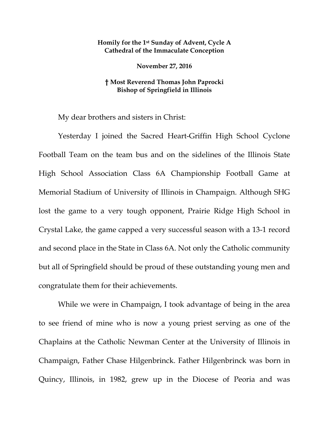## **Homily for the 1st Sunday of Advent, Cycle A Cathedral of the Immaculate Conception**

**November 27, 2016**

## **† Most Reverend Thomas John Paprocki Bishop of Springfield in Illinois**

My dear brothers and sisters in Christ:

Yesterday I joined the Sacred Heart-Griffin High School Cyclone Football Team on the team bus and on the sidelines of the Illinois State High School Association Class 6A Championship Football Game at Memorial Stadium of University of Illinois in Champaign. Although SHG lost the game to a very tough opponent, Prairie Ridge High School in Crystal Lake, the game capped a very successful season with a 13-1 record and second place in the State in Class 6A. Not only the Catholic community but all of Springfield should be proud of these outstanding young men and congratulate them for their achievements.

While we were in Champaign, I took advantage of being in the area to see friend of mine who is now a young priest serving as one of the Chaplains at the Catholic Newman Center at the University of Illinois in Champaign, Father Chase Hilgenbrinck. Father Hilgenbrinck was born in Quincy, Illinois, in 1982, grew up in the Diocese of Peoria and was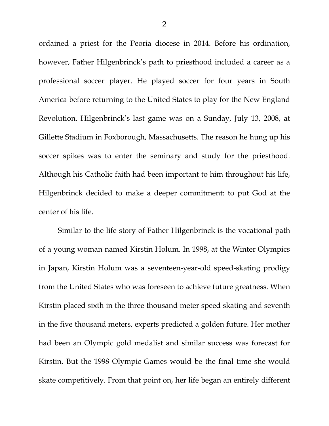ordained a priest for the Peoria diocese in 2014. Before his ordination, however, Father Hilgenbrinck's path to priesthood included a career as a professional soccer player. He played soccer for four years in South America before returning to the United States to play for the New England Revolution. Hilgenbrinck's last game was on a Sunday, July 13, 2008, at Gillette Stadium in Foxborough, Massachusetts. The reason he hung up his soccer spikes was to enter the seminary and study for the priesthood. Although his Catholic faith had been important to him throughout his life, Hilgenbrinck decided to make a deeper commitment: to put God at the center of his life.

Similar to the life story of Father Hilgenbrinck is the vocational path of a young woman named Kirstin Holum. In 1998, at the Winter Olympics in Japan, Kirstin Holum was a seventeen-year-old speed-skating prodigy from the United States who was foreseen to achieve future greatness. When Kirstin placed sixth in the three thousand meter speed skating and seventh in the five thousand meters, experts predicted a golden future. Her mother had been an Olympic gold medalist and similar success was forecast for Kirstin. But the 1998 Olympic Games would be the final time she would skate competitively. From that point on, her life began an entirely different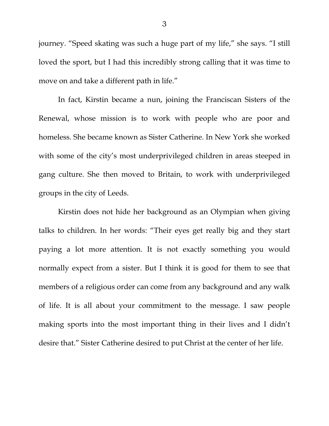journey. "Speed skating was such a huge part of my life," she says. "I still loved the sport, but I had this incredibly strong calling that it was time to move on and take a different path in life."

In fact, Kirstin became a nun, joining the Franciscan Sisters of the Renewal, whose mission is to work with people who are poor and homeless. She became known as Sister Catherine. In New York she worked with some of the city's most underprivileged children in areas steeped in gang culture. She then moved to Britain, to work with underprivileged groups in the city of Leeds.

Kirstin does not hide her background as an Olympian when giving talks to children. In her words: "Their eyes get really big and they start paying a lot more attention. It is not exactly something you would normally expect from a sister. But I think it is good for them to see that members of a religious order can come from any background and any walk of life. It is all about your commitment to the message. I saw people making sports into the most important thing in their lives and I didn't desire that." Sister Catherine desired to put Christ at the center of her life.

3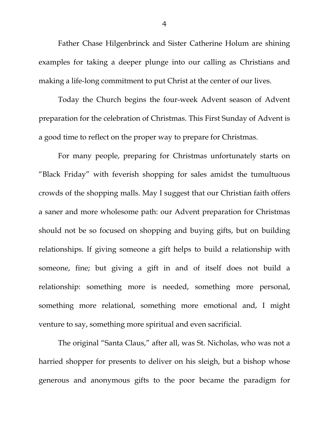Father Chase Hilgenbrinck and Sister Catherine Holum are shining examples for taking a deeper plunge into our calling as Christians and making a life-long commitment to put Christ at the center of our lives.

Today the Church begins the four-week Advent season of Advent preparation for the celebration of Christmas. This First Sunday of Advent is a good time to reflect on the proper way to prepare for Christmas.

For many people, preparing for Christmas unfortunately starts on "Black Friday" with feverish shopping for sales amidst the tumultuous crowds of the shopping malls. May I suggest that our Christian faith offers a saner and more wholesome path: our Advent preparation for Christmas should not be so focused on shopping and buying gifts, but on building relationships. If giving someone a gift helps to build a relationship with someone, fine; but giving a gift in and of itself does not build a relationship: something more is needed, something more personal, something more relational, something more emotional and, I might venture to say, something more spiritual and even sacrificial.

The original "Santa Claus," after all, was St. Nicholas, who was not a harried shopper for presents to deliver on his sleigh, but a bishop whose generous and anonymous gifts to the poor became the paradigm for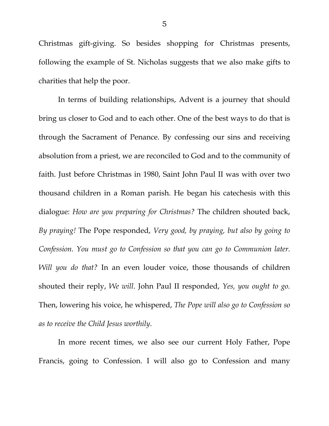Christmas gift-giving. So besides shopping for Christmas presents, following the example of St. Nicholas suggests that we also make gifts to charities that help the poor.

In terms of building relationships, Advent is a journey that should bring us closer to God and to each other. One of the best ways to do that is through the Sacrament of Penance. By confessing our sins and receiving absolution from a priest, we are reconciled to God and to the community of faith. Just before Christmas in 1980, Saint John Paul II was with over two thousand children in a Roman parish. He began his catechesis with this dialogue: *How are you preparing for Christmas?* The children shouted back, *By praying!* The Pope responded, *Very good, by praying, but also by going to Confession. You must go to Confession so that you can go to Communion later. Will you do that?* In an even louder voice, those thousands of children shouted their reply, *We will*. John Paul II responded, *Yes, you ought to go.* Then, lowering his voice, he whispered, *The Pope will also go to Confession so as to receive the Child Jesus worthily*.

In more recent times, we also see our current Holy Father, Pope Francis, going to Confession. I will also go to Confession and many